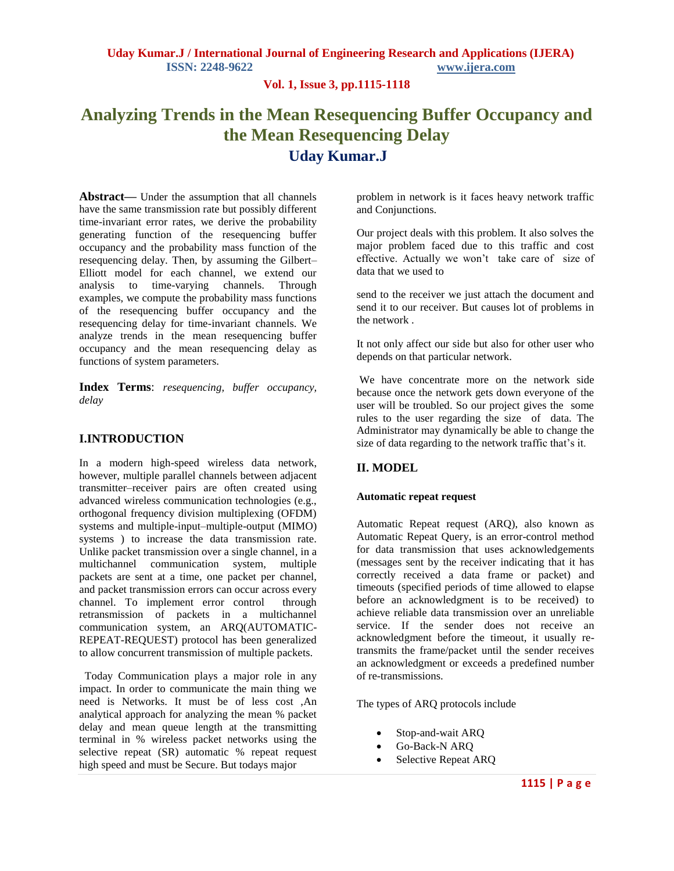## **Vol. 1, Issue 3, pp.1115-1118**

# **Analyzing Trends in the Mean Resequencing Buffer Occupancy and the Mean Resequencing Delay Uday Kumar.J**

**Abstract—** Under the assumption that all channels have the same transmission rate but possibly different time-invariant error rates, we derive the probability generating function of the resequencing buffer occupancy and the probability mass function of the resequencing delay. Then, by assuming the Gilbert– Elliott model for each channel, we extend our analysis to time-varying channels. Through examples, we compute the probability mass functions of the resequencing buffer occupancy and the resequencing delay for time-invariant channels. We analyze trends in the mean resequencing buffer occupancy and the mean resequencing delay as functions of system parameters.

**Index Terms**: *resequencing, buffer occupancy, delay*

## **I.INTRODUCTION**

In a modern high-speed wireless data network, however, multiple parallel channels between adjacent transmitter–receiver pairs are often created using advanced wireless communication technologies (e.g., orthogonal frequency division multiplexing (OFDM) systems and multiple-input–multiple-output (MIMO) systems ) to increase the data transmission rate. Unlike packet transmission over a single channel, in a multichannel communication system, multiple packets are sent at a time, one packet per channel, and packet transmission errors can occur across every channel. To implement error control through retransmission of packets in a multichannel communication system, an ARQ(AUTOMATIC-REPEAT-REQUEST) protocol has been generalized to allow concurrent transmission of multiple packets.

 Today Communication plays a major role in any impact. In order to communicate the main thing we need is Networks. It must be of less cost ,An analytical approach for analyzing the mean % packet delay and mean queue length at the transmitting terminal in % wireless packet networks using the selective repeat (SR) automatic % repeat request high speed and must be Secure. But todays major

problem in network is it faces heavy network traffic and Conjunctions.

Our project deals with this problem. It also solves the major problem faced due to this traffic and cost effective. Actually we won't take care of size of data that we used to

send to the receiver we just attach the document and send it to our receiver. But causes lot of problems in the network .

It not only affect our side but also for other user who depends on that particular network.

We have concentrate more on the network side because once the network gets down everyone of the user will be troubled. So our project gives the some rules to the user regarding the size of data. The Administrator may dynamically be able to change the size of data regarding to the network traffic that's it.

## **II. MODEL**

#### **Automatic repeat request**

Automatic Repeat request (ARQ), also known as Automatic Repeat Query, is an [error-control](http://en.wikipedia.org/wiki/Error_control) method for [data transmission](http://en.wikipedia.org/wiki/Data_transmission) that uses [acknowledgements](http://en.wikipedia.org/wiki/Acknowledge_character) (messages sent by the receiver indicating that it has correctly received a [data frame](http://en.wikipedia.org/wiki/Data_frame) or [packet\)](http://en.wikipedia.org/wiki/Packet_(information_technology)) and [timeouts](http://en.wikipedia.org/wiki/Timeout_(computing)) (specified periods of time allowed to elapse before an acknowledgment is to be received) to achieve reliable data transmission over an unreliable service. If the sender does not receive an acknowledgment before the timeout, it usually [re](http://en.wikipedia.org/wiki/Retransmission_(data_networks))[transmits](http://en.wikipedia.org/wiki/Retransmission_(data_networks)) the frame/packet until the sender receives an acknowledgment or exceeds a predefined number of re-transmissions.

The types of ARQ protocols include

- [Stop-and-wait ARQ](http://en.wikipedia.org/wiki/Stop-and-wait_ARQ)
- [Go-Back-N ARQ](http://en.wikipedia.org/wiki/Go-Back-N_ARQ)
- [Selective Repeat ARQ](http://en.wikipedia.org/wiki/Selective_Repeat_ARQ)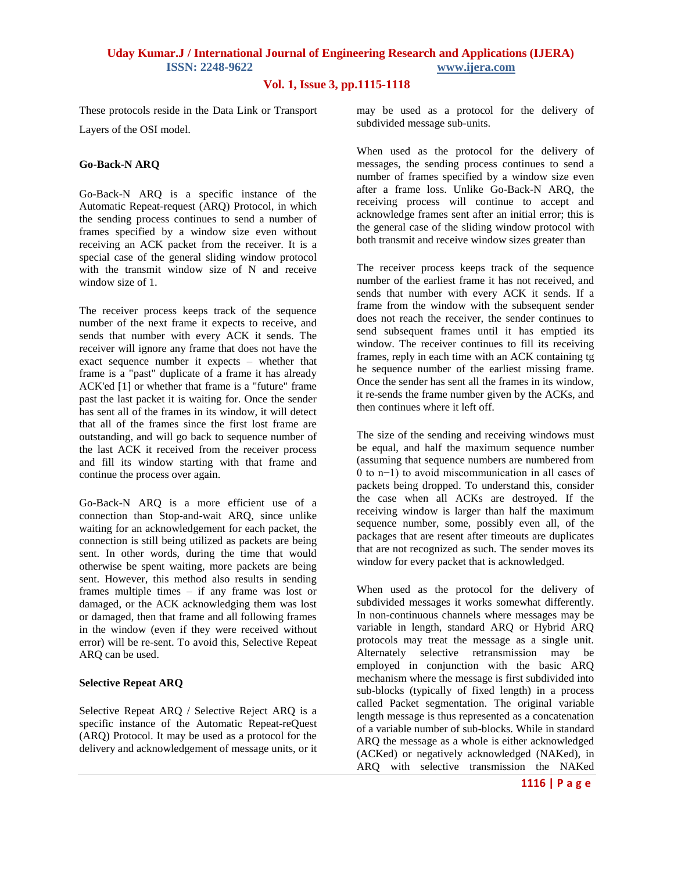# **Uday Kumar.J / International Journal of Engineering Research and Applications (IJERA) ISSN: 2248-9622 www.ijera.com**

## **Vol. 1, Issue 3, pp.1115-1118**

These protocols reside in the [Data Link](http://en.wikipedia.org/wiki/Data_Link_Layer) or [Transport](http://en.wikipedia.org/wiki/Transport_Layer)  [Layers](http://en.wikipedia.org/wiki/Transport_Layer) of the [OSI model.](http://en.wikipedia.org/wiki/OSI_model)

#### **Go-Back-N ARQ**

Go-Back-N ARQ is a specific instance of the [Automatic Repeat-request](http://en.wikipedia.org/wiki/Automatic_repeat-request) (ARQ) Protocol, in which the sending process continues to send a number of [frames](http://en.wikipedia.org/wiki/Data_frame) specified by a window size even without receiving an [ACK](http://en.wikipedia.org/wiki/ACK_(computing)) packet from the receiver. It is a special case of the general [sliding window protocol](http://en.wikipedia.org/wiki/Sliding_window_protocol) with the transmit window size of N and receive window size of 1.

The receiver process keeps track of the sequence number of the next frame it expects to receive, and sends that number with every ACK it sends. The receiver will ignore any frame that does not have the exact sequence number it expects – whether that frame is a "past" duplicate of a frame it has already ACK'ed [\[1\]](http://en.wikipedia.org/wiki/Go-Back-N_ARQ#cite_note-0) or whether that frame is a "future" frame past the last packet it is waiting for. Once the sender has sent all of the frames in its window, it will detect that all of the frames since the first lost frame are outstanding, and will go back to sequence number of the last ACK it received from the receiver process and fill its window starting with that frame and continue the process over again.

Go-Back-N ARQ is a more efficient use of a connection than [Stop-and-wait ARQ,](http://en.wikipedia.org/wiki/Stop-and-wait_ARQ) since unlike waiting for an acknowledgement for each packet, the connection is still being utilized as packets are being sent. In other words, during the time that would otherwise be spent waiting, more packets are being sent. However, this method also results in sending frames multiple times – if any frame was lost or damaged, or the ACK acknowledging them was lost or damaged, then that frame and all following frames in the window (even if they were received without error) will be re-sent. To avoid this, [Selective Repeat](http://en.wikipedia.org/wiki/Selective_Repeat_ARQ)  [ARQ](http://en.wikipedia.org/wiki/Selective_Repeat_ARQ) can be used.

### **Selective Repeat ARQ**

Selective Repeat ARQ / Selective Reject ARQ is a specific instance of the [Automatic Repeat-reQuest](http://en.wikipedia.org/wiki/Automatic_repeat-request)  [\(ARQ\)](http://en.wikipedia.org/wiki/Automatic_repeat-request) Protocol. It may be used as a protocol for the delivery and acknowledgement of message units, or it may be used as a protocol for the delivery of subdivided message sub-units.

When used as the protocol for the delivery of messages, the sending process continues to send a number of [frames](http://en.wikipedia.org/wiki/Data_frame) specified by a window size even after a frame loss. Unlike [Go-Back-N ARQ,](http://en.wikipedia.org/wiki/Go-Back-N_ARQ) the receiving process will continue to accept and [acknowledge](http://en.wikipedia.org/wiki/ACK_(computing)) frames sent after an initial error; this is the general case of the [sliding window protocol](http://en.wikipedia.org/wiki/Sliding_Window_Protocol) with both transmit and receive window sizes greater than

The receiver process keeps track of the sequence number of the earliest frame it has not received, and sends that number with every [ACK](http://en.wikipedia.org/wiki/ACK_(computing)) it sends. If a frame from the window with the subsequent sender does not reach the receiver, the sender continues to send subsequent frames until it has emptied its window. The receiver continues to fill its receiving frames, reply in each time with an ACK containing tg he sequence number of the earliest missing [frame.](http://en.wikipedia.org/wiki/Data_frame) Once the sender has sent all the frames in its window, it re-sends the frame number given by the ACKs, and then continues where it left off.

The size of the sending and receiving windows must be equal, and half the maximum sequence number (assuming that sequence numbers are numbered from 0 to n−1) to avoid miscommunication in all cases of packets being dropped. To understand this, consider the case when all ACKs are destroyed. If the receiving window is larger than half the maximum sequence number, some, possibly even all, of the packages that are resent after timeouts are duplicates that are not recognized as such. The sender moves its window for every packet that is acknowledged.

When used as the protocol for the delivery of subdivided messages it works somewhat differently. In non-continuous channels where messages may be variable in length, standard ARQ or Hybrid ARQ protocols may treat the message as a single unit. Alternately selective retransmission may be employed in conjunction with the basic ARQ mechanism where the message is first subdivided into sub-blocks (typically of fixed length) in a process called [Packet segmentation.](http://en.wikipedia.org/wiki/Packet_segmentation) The original variable length message is thus represented as a concatenation of a variable number of sub-blocks. While in standard ARQ the message as a whole is either acknowledged (ACKed) or negatively acknowledged (NAKed), in ARQ with selective transmission the NAKed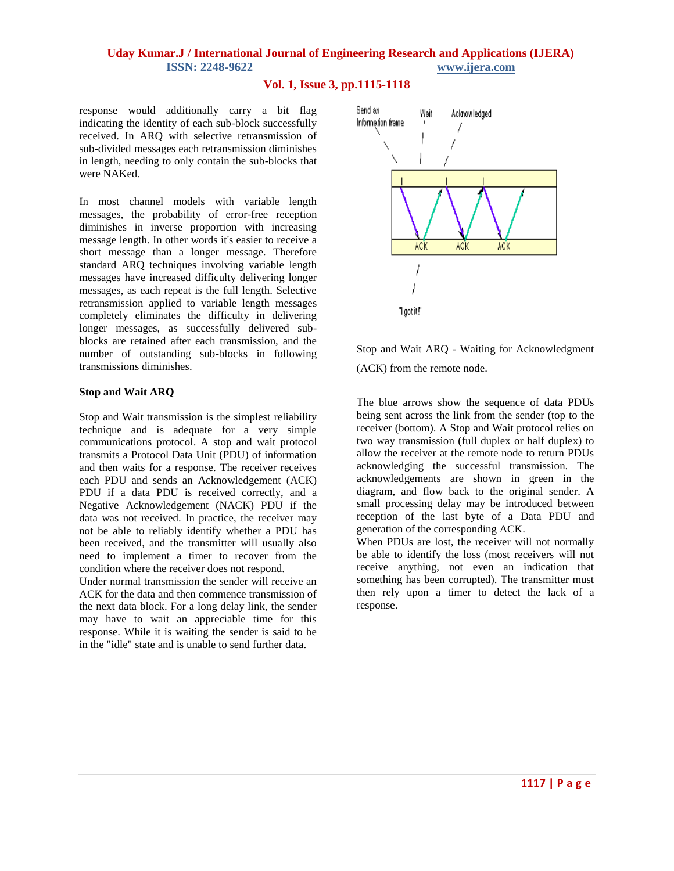## **Uday Kumar.J / International Journal of Engineering Research and Applications (IJERA) ISSN: 2248-9622 www.ijera.com**

#### **Vol. 1, Issue 3, pp.1115-1118**

response would additionally carry a bit flag indicating the identity of each sub-block successfully received. In ARQ with selective retransmission of sub-divided messages each retransmission diminishes in length, needing to only contain the sub-blocks that were NAKed.

In most channel models with variable length messages, the probability of error-free reception diminishes in inverse proportion with increasing message length. In other words it's easier to receive a short message than a longer message. Therefore standard ARQ techniques involving variable length messages have increased difficulty delivering longer messages, as each repeat is the full length. Selective retransmission applied to variable length messages completely eliminates the difficulty in delivering longer messages, as successfully delivered subblocks are retained after each transmission, and the number of outstanding sub-blocks in following transmissions diminishes.

#### **Stop and Wait ARQ**

Stop and Wait transmission is the simplest [reliability](http://www.erg.abdn.ac.uk/users/gorry/eg3567/arq-pages/reliability.html) technique and is adequate for a very simple communications [protocol.](http://www.erg.abdn.ac.uk/users/gorry/eg3567/intro-pages/protocols.html) A stop and wait protocol transmits a Protocol Data Unit (PDU) of information and then waits for a response. The receiver receives each PDU and sends an Acknowledgement (ACK) PDU if a data PDU is received correctly, and a Negative Acknowledgement (NACK) PDU if the data was not received. In practice, the receiver may not be able to reliably identify whether a PDU has been received, and the transmitter will usually also need to implement a timer to recover from the condition where the receiver does not respond.

Under normal transmission the sender will receive an ACK for the data and then commence transmission of the next data block. For a long delay link, the sender may have to wait an appreciable time for this response. While it is waiting the sender is said to be in the "idle" state and is unable to send further data.



Stop and Wait ARQ - Waiting for Acknowledgment (ACK) from the remote node.

The blue arrows show the sequence of data PDUs being sent across the link from the sender (top to the receiver (bottom). A Stop and Wait protocol relies on two way transmission (full duplex or half duplex) to allow the receiver at the remote node to return PDUs acknowledging the successful transmission. The acknowledgements are shown in green in the diagram, and flow back to the original sender. A small processing delay may be introduced between reception of the last byte of a Data PDU and generation of the corresponding ACK.

When PDUs are lost, the receiver will not normally be able to identify the loss (most receivers will not receive anything, not even an indication that something has been corrupted). The transmitter must then rely upon a [timer](http://www.erg.abdn.ac.uk/users/gorry/eg3567/arq-pages/timers.html) to detect the lack of a response.